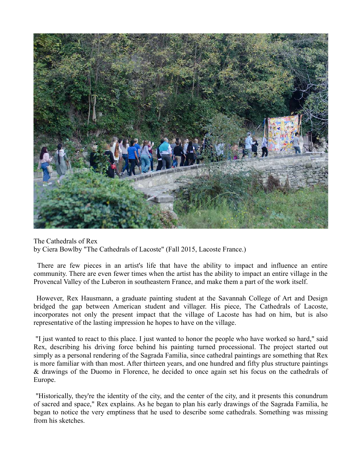

The Cathedrals of Rex by Ciera Bowlby "The Cathedrals of Lacoste" (Fall 2015, Lacoste France.)

 There are few pieces in an artist's life that have the ability to impact and influence an entire community. There are even fewer times when the artist has the ability to impact an entire village in the Provencal Valley of the Luberon in southeastern France, and make them a part of the work itself.

 However, Rex Hausmann, a graduate painting student at the Savannah College of Art and Design bridged the gap between American student and villager. His piece, The Cathedrals of Lacoste, incorporates not only the present impact that the village of Lacoste has had on him, but is also representative of the lasting impression he hopes to have on the village.

 "I just wanted to react to this place. I just wanted to honor the people who have worked so hard," said Rex, describing his driving force behind his painting turned processional. The project started out simply as a personal rendering of the Sagrada Familia, since cathedral paintings are something that Rex is more familiar with than most. After thirteen years, and one hundred and fifty plus structure paintings & drawings of the Duomo in Florence, he decided to once again set his focus on the cathedrals of Europe.

 "Historically, they're the identity of the city, and the center of the city, and it presents this conundrum of sacred and space," Rex explains. As he began to plan his early drawings of the Sagrada Familia, he began to notice the very emptiness that he used to describe some cathedrals. Something was missing from his sketches.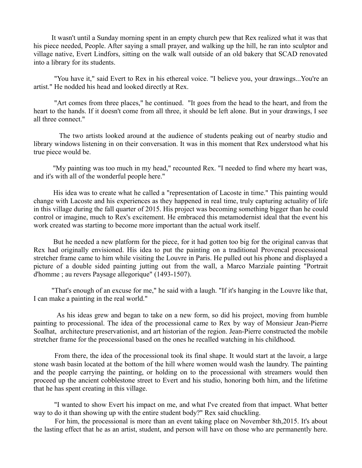It wasn't until a Sunday morning spent in an empty church pew that Rex realized what it was that his piece needed, People. After saying a small prayer, and walking up the hill, he ran into sculptor and village native, Evert Lindfors, sitting on the walk wall outside of an old bakery that SCAD renovated into a library for its students.

 "You have it," said Evert to Rex in his ethereal voice. "I believe you, your drawings...You're an artist." He nodded his head and looked directly at Rex.

 "Art comes from three places," he continued. "It goes from the head to the heart, and from the heart to the hands. If it doesn't come from all three, it should be left alone. But in your drawings, I see all three connect."

 The two artists looked around at the audience of students peaking out of nearby studio and library windows listening in on their conversation. It was in this moment that Rex understood what his true piece would be.

 "My painting was too much in my head," recounted Rex. "I needed to find where my heart was, and it's with all of the wonderful people here."

 His idea was to create what he called a "representation of Lacoste in time." This painting would change with Lacoste and his experiences as they happened in real time, truly capturing actuality of life in this village during the fall quarter of 2015. His project was becoming something bigger than he could control or imagine, much to Rex's excitement. He embraced this metamodernist ideal that the event his work created was starting to become more important than the actual work itself.

 But he needed a new platform for the piece, for it had gotten too big for the original canvas that Rex had originally envisioned. His idea to put the painting on a traditional Provencal processional stretcher frame came to him while visiting the Louvre in Paris. He pulled out his phone and displayed a picture of a double sided painting jutting out from the wall, a Marco Marziale painting "Portrait d'homme ; au revers Paysage allegorique" (1493-1507).

 "That's enough of an excuse for me," he said with a laugh. "If it's hanging in the Louvre like that, I can make a painting in the real world."

 As his ideas grew and began to take on a new form, so did his project, moving from humble painting to processional. The idea of the processional came to Rex by way of Monsieur Jean-Pierre Soalhat, architecture preservationist, and art historian of the region. Jean-Pierre constructed the mobile stretcher frame for the processional based on the ones he recalled watching in his childhood.

 From there, the idea of the processional took its final shape. It would start at the lavoir, a large stone wash basin located at the bottom of the hill where women would wash the laundry. The painting and the people carrying the painting, or holding on to the processional with streamers would then proceed up the ancient cobblestone street to Evert and his studio, honoring both him, and the lifetime that he has spent creating in this village.

 "I wanted to show Evert his impact on me, and what I've created from that impact. What better way to do it than showing up with the entire student body?" Rex said chuckling.

 For him, the processional is more than an event taking place on November 8th,2015. It's about the lasting effect that he as an artist, student, and person will have on those who are permanently here.